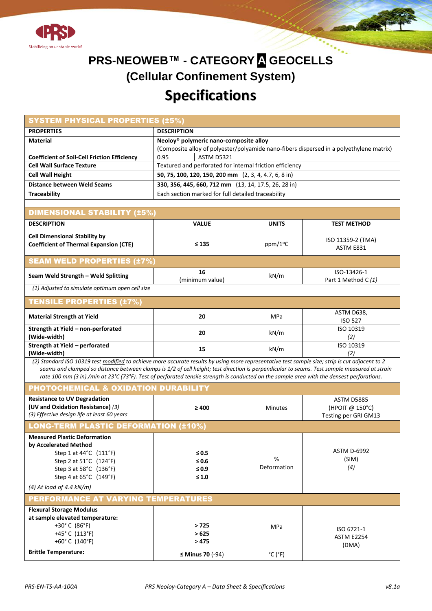



| <b>SYSTEM PHYSICAL PROPERTIES (±5%)</b>                                                                                                                                                                                                                                                                                                                                                                                                       |                                                                                                                                               |                              |                                                              |  |  |  |  |  |  |  |  |  |
|-----------------------------------------------------------------------------------------------------------------------------------------------------------------------------------------------------------------------------------------------------------------------------------------------------------------------------------------------------------------------------------------------------------------------------------------------|-----------------------------------------------------------------------------------------------------------------------------------------------|------------------------------|--------------------------------------------------------------|--|--|--|--|--|--|--|--|--|
| <b>PROPERTIES</b>                                                                                                                                                                                                                                                                                                                                                                                                                             | <b>DESCRIPTION</b>                                                                                                                            |                              |                                                              |  |  |  |  |  |  |  |  |  |
| <b>Material</b>                                                                                                                                                                                                                                                                                                                                                                                                                               | Neoloy <sup>®</sup> polymeric nano-composite alloy<br>(Composite alloy of polyester/polyamide nano-fibers dispersed in a polyethylene matrix) |                              |                                                              |  |  |  |  |  |  |  |  |  |
| <b>Coefficient of Soil-Cell Friction Efficiency</b>                                                                                                                                                                                                                                                                                                                                                                                           | 0.95<br><b>ASTM D5321</b>                                                                                                                     |                              |                                                              |  |  |  |  |  |  |  |  |  |
| <b>Cell Wall Surface Texture</b>                                                                                                                                                                                                                                                                                                                                                                                                              | Textured and perforated for internal friction efficiency                                                                                      |                              |                                                              |  |  |  |  |  |  |  |  |  |
| <b>Cell Wall Height</b>                                                                                                                                                                                                                                                                                                                                                                                                                       | 50, 75, 100, 120, 150, 200 mm (2, 3, 4, 4.7, 6, 8 in)                                                                                         |                              |                                                              |  |  |  |  |  |  |  |  |  |
| <b>Distance between Weld Seams</b>                                                                                                                                                                                                                                                                                                                                                                                                            | 330, 356, 445, 660, 712 mm (13, 14, 17.5, 26, 28 in)                                                                                          |                              |                                                              |  |  |  |  |  |  |  |  |  |
| <b>Traceability</b>                                                                                                                                                                                                                                                                                                                                                                                                                           | Each section marked for full detailed traceability                                                                                            |                              |                                                              |  |  |  |  |  |  |  |  |  |
|                                                                                                                                                                                                                                                                                                                                                                                                                                               |                                                                                                                                               |                              |                                                              |  |  |  |  |  |  |  |  |  |
| <b>DIMENSIONAL STABILITY (±5%)</b>                                                                                                                                                                                                                                                                                                                                                                                                            |                                                                                                                                               |                              |                                                              |  |  |  |  |  |  |  |  |  |
| <b>DESCRIPTION</b>                                                                                                                                                                                                                                                                                                                                                                                                                            | <b>VALUE</b>                                                                                                                                  | <b>UNITS</b>                 | <b>TEST METHOD</b>                                           |  |  |  |  |  |  |  |  |  |
| <b>Cell Dimensional Stability by</b><br><b>Coefficient of Thermal Expansion (CTE)</b>                                                                                                                                                                                                                                                                                                                                                         | ≤ 135                                                                                                                                         | ppm/1 <sup>o</sup> C         | ISO 11359-2 (TMA)<br>ASTM E831                               |  |  |  |  |  |  |  |  |  |
| <b>SEAM WELD PROPERTIES (±7%)</b>                                                                                                                                                                                                                                                                                                                                                                                                             |                                                                                                                                               |                              |                                                              |  |  |  |  |  |  |  |  |  |
| Seam Weld Strength - Weld Splitting                                                                                                                                                                                                                                                                                                                                                                                                           | 16<br>(minimum value)                                                                                                                         | kN/m                         | ISO-13426-1<br>Part 1 Method C (1)                           |  |  |  |  |  |  |  |  |  |
| (1) Adjusted to simulate optimum open cell size                                                                                                                                                                                                                                                                                                                                                                                               |                                                                                                                                               |                              |                                                              |  |  |  |  |  |  |  |  |  |
| <b>TENSILE PROPERTIES (±7%)</b>                                                                                                                                                                                                                                                                                                                                                                                                               |                                                                                                                                               |                              |                                                              |  |  |  |  |  |  |  |  |  |
| <b>Material Strength at Yield</b>                                                                                                                                                                                                                                                                                                                                                                                                             | 20                                                                                                                                            | <b>MPa</b>                   | ASTM D638,<br><b>ISO 527</b>                                 |  |  |  |  |  |  |  |  |  |
| Strength at Yield - non-perforated<br>(Wide-width)                                                                                                                                                                                                                                                                                                                                                                                            | 20                                                                                                                                            | kN/m                         | ISO 10319<br>(2)                                             |  |  |  |  |  |  |  |  |  |
| Strength at Yield - perforated<br>(Wide-width)                                                                                                                                                                                                                                                                                                                                                                                                | 15                                                                                                                                            | kN/m                         | ISO 10319<br>(2)                                             |  |  |  |  |  |  |  |  |  |
| (2) Standard ISO 10319 test modified to achieve more accurate results by using more representative test sample size; strip is cut adjacent to 2<br>seams and clamped so distance between clamps is 1/2 of cell height; test direction is perpendicular to seams. Test sample measured at strain<br>rate 100 mm (3 in) /min at 23°C (73°F). Test of perforated tensile strength is conducted on the sample area with the densest perforations. |                                                                                                                                               |                              |                                                              |  |  |  |  |  |  |  |  |  |
| <b>PHOTOCHEMICAL &amp; OXIDATION DURABILITY</b>                                                                                                                                                                                                                                                                                                                                                                                               |                                                                                                                                               |                              |                                                              |  |  |  |  |  |  |  |  |  |
| <b>Resistance to UV Degradation</b><br>(UV and Oxidation Resistance) (3)<br>(3) Effective design life at least 60 years                                                                                                                                                                                                                                                                                                                       | $\geq 400$                                                                                                                                    | <b>Minutes</b>               | <b>ASTM D5885</b><br>(HPOIT @ 150°C)<br>Testing per GRI GM13 |  |  |  |  |  |  |  |  |  |
| <b>LONG-TERM PLASTIC DEFORMATION (±10%)</b>                                                                                                                                                                                                                                                                                                                                                                                                   |                                                                                                                                               |                              |                                                              |  |  |  |  |  |  |  |  |  |
| <b>Measured Plastic Deformation</b><br>by Accelerated Method<br>Step 1 at 44°C (111°F)<br>Step 2 at 51°C (124°F)<br>Step 3 at 58°C (136°F)<br>Step 4 at 65°C (149°F)<br>$(4)$ At load of 4.4 kN/m)                                                                                                                                                                                                                                            | $\leq 0.5$<br>$\leq 0.6$<br>$\leq 0.9$<br>$\leq 1.0$                                                                                          | %<br>Deformation             | <b>ASTM D-6992</b><br>(SIM)<br>(4)                           |  |  |  |  |  |  |  |  |  |
| PERFORMANCE AT VARYING TEMPERATURES                                                                                                                                                                                                                                                                                                                                                                                                           |                                                                                                                                               |                              |                                                              |  |  |  |  |  |  |  |  |  |
| <b>Flexural Storage Modulus</b><br>at sample elevated temperature:<br>+30°C (86°F)<br>+45°C (113°F)<br>+60°C (140°F)                                                                                                                                                                                                                                                                                                                          | > 725<br>>625<br>> 475                                                                                                                        | <b>MPa</b>                   | ISO 6721-1<br><b>ASTM E2254</b><br>(DMA)                     |  |  |  |  |  |  |  |  |  |
| <b>Brittle Temperature:</b>                                                                                                                                                                                                                                                                                                                                                                                                                   | $\leq$ Minus 70 (-94)                                                                                                                         | $^{\circ}$ C ( $^{\circ}$ F) |                                                              |  |  |  |  |  |  |  |  |  |